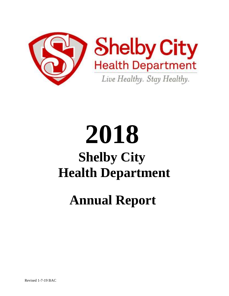

# **2018 Shelby City Health Department**

# **Annual Report**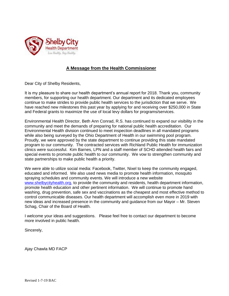

#### **A Message from the Health Commissioner**

Dear City of Shelby Residents,

It is my pleasure to share our health department's annual report for 2018. Thank you, community members, for supporting our health department. Our department and its dedicated employees continue to make strides to provide public health services to the jurisdiction that we serve. We have reached new milestones this past year by applying for and receiving over \$250,000 in State and Federal grants to maximize the use of local levy dollars for programs/services.

Environmental Health Director, Beth Ann Conrad, R.S. has continued to expand our visibility in the community and meet the demands of preparing for national public health accreditation. Our Environmental Health division continued to meet inspection deadlines in all mandated programs while also being surveyed by the Ohio Department of Health in our swimming pool program. Proudly, we were approved by the state department to continue providing this state mandated program to our community. The contracted services with Richland Public Health for immunization clinics were successful. Kim Barnes, LPN and a staff member of SCHD attended health fairs and special events to promote public health to our community. We vow to strengthen community and state partnerships to make public health a priority.

We were able to utilize social media: Facebook, Twitter, Nixel to keep the community engaged, educated and informed. We also used news media to promote health information, mosquito spraying schedules and community events. We will introduce a new website [www.shelbycityhealth.org,](http://www.shelbycityhealth.org/) to provide the community and residents, health department information, promote health education and other pertinent information. We will continue to promote hand washing, drug prevention, safe sex and vaccinations as the cheapest and most effective method to control communicable diseases. Our health department will accomplish even more in 2019 with new ideas and increased presence in the community and guidance from our Mayor – Mr. Steven Schag, Chair of the Board of Health.

I welcome your ideas and suggestions. Please feel free to contact our department to become more involved in public health.

Sincerely,

Ajay Chawla MD FACP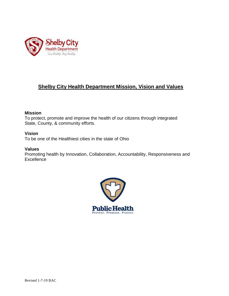

## **Shelby City Health Department Mission, Vision and Values**

#### **Mission**

To protect, promote and improve the health of our citizens through integrated State, County, & community efforts.

#### **Vision**

To be one of the Healthiest cities in the state of Ohio

#### **Values**

Promoting health by Innovation, Collaboration, Accountability, Responsiveness and **Excellence** 

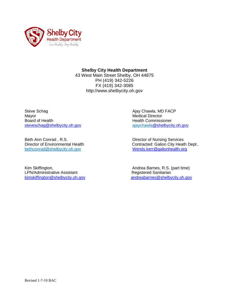

#### **Shelby City Health Department**

43 West Main Street Shelby, OH 44875 PH (419) 342-5226 FX (419) 342-3085 http://www.shelbycity.oh.gov

Steve Schag **All Steve Schag Against Steve Schag Ajay Chawla, MD FACP** Mayor Medical Director Board of Health **Health Health** Commissioner [steveschag@shelbycity.oh.gov](mailto:steveshag@shelbycity.oh.gov) [ajaychawla@shelbycity.oh.gov](mailto:ajaychawla@shelbycity.oh.gov)

Beth Ann Conrad, R.S. **Business** Director of Nursing Services bethconrad@shelbycity.oh.gov [Wendy.kerr@galionhealth.org](mailto:Wendy.kerr@galionhealth.org)

Kim Skiffington, **Andrea Barnes, R.S. (part time)** Andrea Barnes, R.S. (part time) LPN/Administrative Assistant **Registered Sanitarian** 

Director of Environmental Health Contracted: Galion City Heath Dept..

[kimskiffington@shelbycity.oh.gov](mailto:kimskiffington@shelbycity.oh.gov) andreabarnes@shelbycity.oh.gov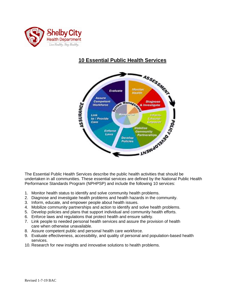

# **10 Essential Public Health Services**



The Essential Public Health Services describe the public health activities that should be undertaken in all communities. These essential services are defined by the National Public Health Performance Standards Program (NPHPSP) and include the following 10 services:

- 1. Monitor health status to identify and solve community health problems.
- 2. Diagnose and investigate health problems and health hazards in the community.
- 3. Inform, educate, and empower people about health issues.
- 4. Mobilize community partnerships and action to identify and solve health problems.
- 5. Develop policies and plans that support individual and community health efforts.
- 6. Enforce laws and regulations that protect health and ensure safety.
- 7. Link people to needed personal health services and assure the provision of health care when otherwise unavailable.
- 8. Assure competent public and personal health care workforce.
- 9. Evaluate effectiveness, accessibility, and quality of personal and population-based health services.
- 10. Research for new insights and innovative solutions to health problems.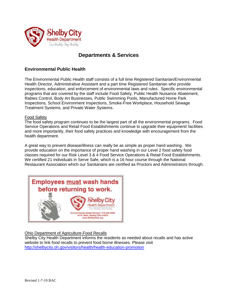

### **Departments & Services**

#### **Environmental Public Health**

The Environmental Public Health staff consists of a full time Registered Sanitarian/Environmental Health Director, Administrative Assistant and a part time Registered Sanitarian who provide inspections, education, and enforcement of environmental laws and rules. Specific environmental programs that are covered by the staff include Food Safety, Public Health Nuisance Abatement, Rabies Control, Body Art Businesses, Public Swimming Pools, Manufactured Home Park Inspections, School Environment Inspections, Smoke-Free Workplace, Household Sewage Treatment Systems, and Private Water Systems.

#### Food Safety

The food safety program continues to be the largest part of all the environmental programs. Food Service Operations and Retail Food Establishments continue to upgrade their equipment/ facilities and more importantly, their food safety practices and knowledge with encouragement from the health department.

A great way to prevent disease/illness can really be as simple as proper hand washing. We provide education on the importance of proper hand washing in our Level 2 food safety food classes required for our Risk Level 3 & 4 Food Service Operations & Retail Food Establishments. We certified 21 individuals in Serve Safe, which is a 16 hour course through the National Restaurant Association which our Sanitarians are certified as Proctors and Administrators through.



#### Ohio Department of Agriculture-Food Recalls

Shelby City Health Department informs the residents as needed about recalls and has active website to link food recalls to prevent food borne illnesses. Please visit <http://shelbycity.oh.gov/visitors/health/health-education-promotion>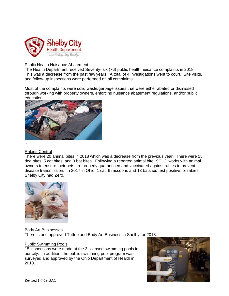

#### Public Health Nuisance Abatement

The Health Department received Seventy- six (76) public health nuisance complaints in 2018. This was a decrease from the past few years. A total of 4 investigations went to court. Site visits, and follow-up inspections were performed on all complaints.

Most of the complaints were solid waste/garbage issues that were either abated or dismissed through working with property owners, enforcing nuisance abatement regulations, and/or public education.



#### Rabies Control

There were 20 animal bites in 2018 which was a decrease from the previous year. There were 15 dog bites, 5 cat bites, and 0 bat bites. Following a reported animal bite, SCHD works with animal owners to ensure their pets are properly quarantined and vaccinated against rabies to prevent disease transmission. In 2017 in Ohio, 1 cat, 6 raccoons and 13 bats *did* test positive for rabies, Shelby City had Zero.



#### Body Art Businesses

There is one approved Tattoo and Body Art Business in Shelby for 2018.

#### Public Swimming Pools

15 inspections were made at the 3 licensed swimming pools in our city. In addition, the public swimming pool program was surveyed and approved by the Ohio Department of Health in 2018.

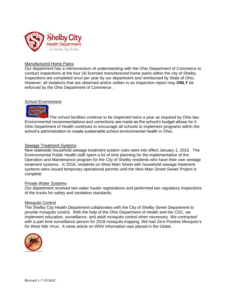

#### Manufactured Home Parks

Our department has a memorandum of understanding with the Ohio Department of Commerce to conduct inspections at the four (4) licensed manufactured home parks within the city of Shelby. Inspections are completed once per year by our department and reimbursed by State of Ohio. However, all violations that are observed and/or written in an inspection report may **ONLY** be enforced by the Ohio Department of Commerce .

#### School Environment



The school facilities continue to be inspected twice a year as required by Ohio law. Environmental recommendations and corrections are made as the school's budget allows for it. Ohio Department of Health continues to encourage all schools to implement programs within the school's administration to create sustainable school environmental health in Ohio.

#### Sewage Treatment Systems

New statewide household sewage treatment system rules went into effect January 1, 2015. The Environmental Public Health staff spent a lot of time planning for the implementation of the Operation and Maintenance program for the City of Shelby residents who have their own sewage treatment systems. In 2018, residents on West Main Street with household sewage treatment systems were issued temporary operational permits until the New Main Street Sewer Project is complete.

#### Private Water Systems

Our department received two water hauler registrations and performed two regulatory inspections of the trucks for safety and sanitation standards.

#### Mosquito Control

The Shelby City Health Department collaborates with the City of Shelby Street Department to provide mosquito control. With the help of the Ohio Department of Health and the CDC, we implement education, surveillance, and adult mosquito control when necessary. We contracted with a part time surveillance person for 2018 mosquito trapping. We had Zero Positive Mosquito's for West Nile Virus. A news article on WNV information was placed in the Globe.

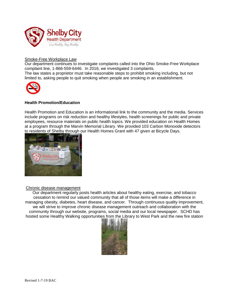

#### Smoke-Free Workplace Law

Our department continues to investigate complaints called into the Ohio Smoke-Free Workplace complaint line, 1-866-559-6446. In 2016, we investigated 3 complaints. The law states a proprietor must take reasonable steps to prohibit smoking including, but not limited to, asking people to quit smoking when people are smoking in an establishment.



#### **Health Promotion/Education**

Health Promotion and Education is an informational link to the community and the media. Services include programs on risk reduction and healthy lifestyles, health screenings for public and private employees, resource materials on public health topics. We provided education on Health Homes at a program through the Marvin Memorial Library. We provided 103 Carbon Monoxide detectors to residents of Shelby through our Health Homes Grant with 47 given at Bicycle Days.



#### Chronic disease management

Our department regularly posts health articles about healthy eating, exercise, and tobacco cessation to remind our valued community that all of those items will make a difference in managing obesity, diabetes, heart disease, and cancer. Through continuous quality improvement, we will strive to improve chronic disease management outreach and collaboration with the community through our website, programs, social media and our local newspaper. SCHD has hosted some Healthy Walking opportunities from the Library to West Park and the new fire station

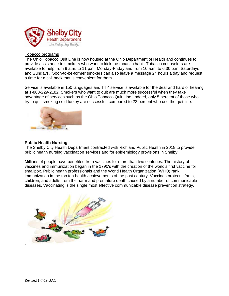

#### Tobacco programs

The Ohio Tobacco Quit Line is now housed at the Ohio Department of Health and continues to provide assistance to smokers who want to kick the tobacco habit. Tobacco counselors are available to help from 9 a.m. to 11 p.m. Monday-Friday and from 10 a.m. to 6:30 p.m. Saturdays and Sundays. Soon-to-be-former smokers can also leave a message 24 hours a day and request a time for a call back that is convenient for them.

Service is available in 150 languages and TTY service is available for the deaf and hard of hearing at 1-888-229-2182. Smokers who want to quit are much more successful when they take advantage of services such as the Ohio Tobacco Quit Line. Indeed, only 5 percent of those who try to quit smoking cold turkey are successful, compared to 22 percent who use the quit line.



#### **Public Health Nursing**

The Shelby City Health Department contracted with Richland Public Health in 2018 to provide public health nursing vaccination services and for epidemiology provisions in Shelby.

Millions of people have benefited from vaccines for more than two centuries. The history of vaccines and immunization began in the 1790's with the creation of the world's first vaccine for smallpox. Public health professionals and the World Health Organization (WHO) rank immunization in the top ten health achievements of the past century. Vaccines protect infants, children, and adults from the harm and premature death caused by a number of communicable diseases. Vaccinating is the single most effective communicable disease prevention strategy.

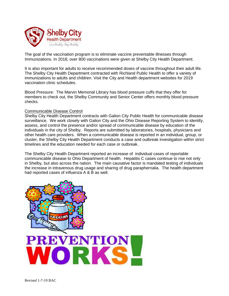

The goal of the vaccination program is to eliminate vaccine preventable illnesses through Immunizations. In 2018, over 800 vaccinations were given at Shelby City Health Department.

It is also important for adults to receive recommended doses of vaccine throughout their adult life. The Shelby City Health Department contracted with Richland Public Health to offer a variety of immunizations to adults and children. Visit the City and Health department websites for 2019 vaccination clinic schedules.

Blood Pressure: The Marvin Memorial Library has blood pressure cuffs that they offer for members to check out, the Shelby Community and Senior Center offers monthly blood pressure checks.

#### Communicable Disease Control

Shelby City Health Department contracts with Galion City Public Health for communicable disease surveillance. We work closely with Galion City and the Ohio Disease Reporting System to identify, assess, and control the presence and/or spread of communicable disease by education of the individuals in the city of Shelby. Reports are submitted by laboratories, hospitals, physicians and other health care providers. When a communicable disease is reported in an individual, group, or cluster, the Shelby City Health Department conducts a case and outbreak investigation within strict timelines and the education needed for each case or outbreak.

The Shelby City Health Department reported an increase of individual cases of reportable communicable disease to Ohio Department of health. Hepatitis C cases continue to rise not only in Shelby, but also across the nation. The main causative factor is mandated testing of individuals the increase in intravenous drug usage and sharing of drug paraphernalia. The health department had reported cases of influenza A & B as well.

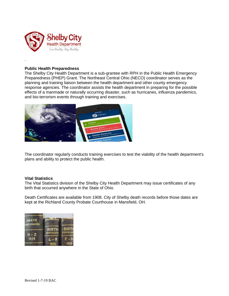

#### **Public Health Preparedness**

.

The Shelby City Health Department is a sub-grantee with RPH in the Public Health Emergency Preparedness (PHEP) Grant. The Northeast Central Ohio (NECO) coordinator serves as the planning and training liaison between the health department and other county emergency response agencies. The coordinator assists the health department in preparing for the possible effects of a manmade or naturally occurring disaster, such as hurricanes, influenza pandemics, and bio-terrorism events through training and exercises.



The coordinator regularly conducts training exercises to test the viability of the health department's plans and ability to protect the public health.

#### **Vital Statistics**

The Vital Statistics division of the Shelby City Health Department may issue certificates of any birth that occurred anywhere in the State of Ohio.

Death Certificates are available from 1908. City of Shelby death records before those dates are kept at the Richland County Probate Courthouse in Mansfield, OH.

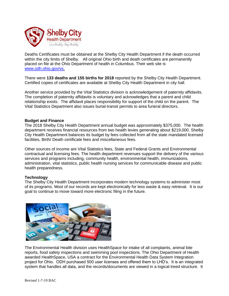

Deaths Certificates must be obtained at the Shelby City Health Department if the death occurred within the city limits of Shelby. All original Ohio birth and death certificates are permanently placed on file at the Ohio Department of health in Columbus. Their web site is [www.odh.ohio.gov/vs.](http://www.odh.ohio.gov/vs)

There were **133 deaths and 155 births for 2018** reported by the Shelby City Health Department. Certified copies of certificates are available at Shelby City Health Department in city hall.

Another service provided by the Vital Statistics division is acknowledgement of paternity affidavits. The completion of paternity affidavits is voluntary and acknowledges that a parent and child relationship exists. The affidavit places responsibility for support of the child on the parent. The Vital Statistics Department also issues burial-transit permits to area funeral directors.

#### **Budget and Finance**

The 2018 Shelby City Health Department annual budget was approximately \$375,000. The health department receives financial resources from two health levies generating about \$219,000. Shelby City Health Department balances its budget by fees collected from all the state mandated licensed facilities, Birth/ Death certificate fees and miscellaneous fees.

Other sources of income are Vital Statistics fees, State and Federal Grants and Environmental contractual and licensing fees. The health department revenues support the delivery of the various services and programs including, community health, environmental health, immunizations, administration, vital statistics, public health nursing services for communicable disease and public health preparedness.

#### **Technology**

The Shelby City Health Department incorporates modern technology systems to administer most of its programs. Most of our records are kept electronically for less waste & easy retrieval. It is our goal to continue to move toward more electronic filing in the future.



The Environmental Health division uses HealthSpace for intake of all complaints, animal bite reports, food safety inspections and swimming pool inspections. The Ohio Department of Health awarded HealthSpace, USA a contract for the Environmental Health Data System Integration project for Ohio. ODH purchased 500 user licenses and offered them to LHD's. It is an integrated system that handles all data, and the records/documents are viewed in a logical treed structure. It